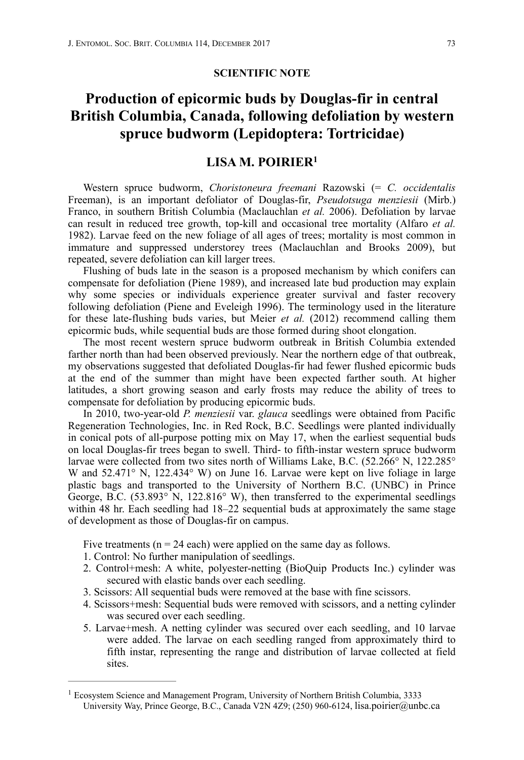## **SCIENTIFIC NOTE**

## **Production of epicormic buds by Douglas-fir in central British Columbia, Canada, following defoliation by western spruce budworm (Lepidoptera: Tortricidae)**

## <span id="page-0-1"></span>**LISA M. POIRIE[R1](#page-0-0)**

Western spruce budworm, *Choristoneura freemani* Razowski (= *C. occidentalis* Freeman), is an important defoliator of Douglas-fir, *Pseudotsuga menziesii* (Mirb.) Franco, in southern British Columbia (Maclauchlan *et al.* 2006). Defoliation by larvae can result in reduced tree growth, top-kill and occasional tree mortality (Alfaro *et al.* 1982). Larvae feed on the new foliage of all ages of trees; mortality is most common in immature and suppressed understorey trees (Maclauchlan and Brooks 2009), but repeated, severe defoliation can kill larger trees.

Flushing of buds late in the season is a proposed mechanism by which conifers can compensate for defoliation (Piene 1989), and increased late bud production may explain why some species or individuals experience greater survival and faster recovery following defoliation (Piene and Eveleigh 1996). The terminology used in the literature for these late-flushing buds varies, but Meier *et al.* (2012) recommend calling them epicormic buds, while sequential buds are those formed during shoot elongation.

The most recent western spruce budworm outbreak in British Columbia extended farther north than had been observed previously. Near the northern edge of that outbreak, my observations suggested that defoliated Douglas-fir had fewer flushed epicormic buds at the end of the summer than might have been expected farther south. At higher latitudes, a short growing season and early frosts may reduce the ability of trees to compensate for defoliation by producing epicormic buds.

In 2010, two-year-old *P. menziesii* var. *glauca* seedlings were obtained from Pacific Regeneration Technologies, Inc. in Red Rock, B.C. Seedlings were planted individually in conical pots of all-purpose potting mix on May 17, when the earliest sequential buds on local Douglas-fir trees began to swell. Third- to fifth-instar western spruce budworm larvae were collected from two sites north of Williams Lake, B.C. (52.266° N, 122.285° W and 52.471° N, 122.434° W) on June 16. Larvae were kept on live foliage in large plastic bags and transported to the University of Northern B.C. (UNBC) in Prince George, B.C.  $(53.893^{\circ} \text{ N}, 122.816^{\circ} \text{ W})$ , then transferred to the experimental seedlings within 48 hr. Each seedling had 18–22 sequential buds at approximately the same stage of development as those of Douglas-fir on campus.

Five treatments ( $n = 24$  each) were applied on the same day as follows.

- 1. Control: No further manipulation of seedlings.
- 2. Control+mesh: A white, polyester-netting (BioQuip Products Inc.) cylinder was secured with elastic bands over each seedling.
- 3. Scissors: All sequential buds were removed at the base with fine scissors.
- 4. Scissors+mesh: Sequential buds were removed with scissors, and a netting cylinder was secured over each seedling.
- 5. Larvae+mesh. A netting cylinder was secured over each seedling, and 10 larvae were added. The larvae on each seedling ranged from approximately third to fifth instar, representing the range and distribution of larvae collected at field sites.

<span id="page-0-0"></span><sup>&</sup>lt;sup>[1](#page-0-1)</sup> Ecosystem Science and Management Program, University of Northern British Columbia, 3333 University Way, Prince George, B.C., Canada V2N 4Z9; (250) 960-6124, lisa.poirier@unbc.ca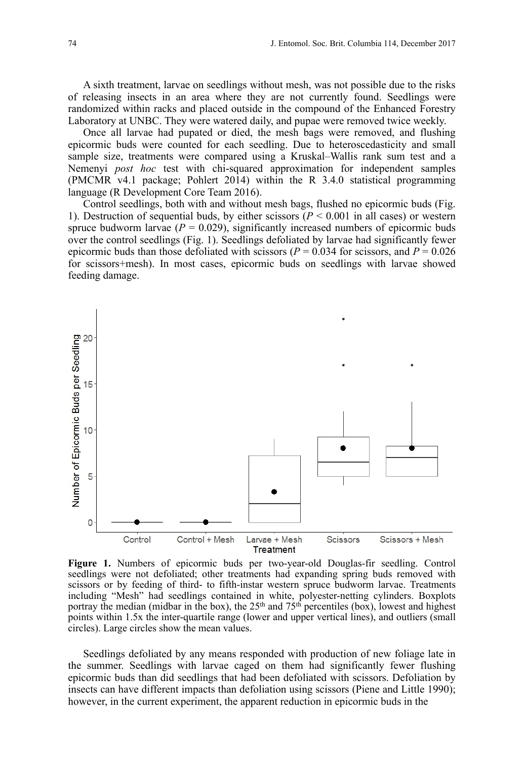A sixth treatment, larvae on seedlings without mesh, was not possible due to the risks of releasing insects in an area where they are not currently found. Seedlings were randomized within racks and placed outside in the compound of the Enhanced Forestry Laboratory at UNBC. They were watered daily, and pupae were removed twice weekly.

Once all larvae had pupated or died, the mesh bags were removed, and flushing epicormic buds were counted for each seedling. Due to heteroscedasticity and small sample size, treatments were compared using a Kruskal–Wallis rank sum test and a Nemenyi *post hoc* test with chi-squared approximation for independent samples (PMCMR v4.1 package; Pohlert 2014) within the R 3.4.0 statistical programming language (R Development Core Team 2016).

Control seedlings, both with and without mesh bags, flushed no epicormic buds (Fig. 1). Destruction of sequential buds, by either scissors ( $P < 0.001$  in all cases) or western spruce budworm larvae  $(P = 0.029)$ , significantly increased numbers of epicormic buds over the control seedlings (Fig. 1). Seedlings defoliated by larvae had significantly fewer epicormic buds than those defoliated with scissors ( $P = 0.034$  for scissors, and  $P = 0.026$ for scissors+mesh). In most cases, epicormic buds on seedlings with larvae showed feeding damage.



**Figure 1.** Numbers of epicormic buds per two-year-old Douglas-fir seedling. Control seedlings were not defoliated; other treatments had expanding spring buds removed with scissors or by feeding of third- to fifth-instar western spruce budworm larvae. Treatments including "Mesh" had seedlings contained in white, polyester-netting cylinders. Boxplots portray the median (midbar in the box), the  $25<sup>th</sup>$  and  $75<sup>th</sup>$  percentiles (box), lowest and highest points within 1.5x the inter-quartile range (lower and upper vertical lines), and outliers (small circles). Large circles show the mean values.

Seedlings defoliated by any means responded with production of new foliage late in the summer. Seedlings with larvae caged on them had significantly fewer flushing epicormic buds than did seedlings that had been defoliated with scissors. Defoliation by insects can have different impacts than defoliation using scissors (Piene and Little 1990); however, in the current experiment, the apparent reduction in epicormic buds in the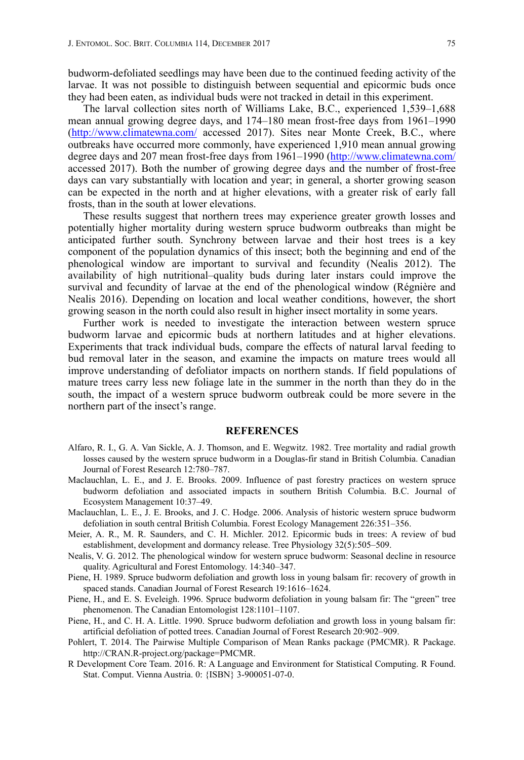budworm-defoliated seedlings may have been due to the continued feeding activity of the larvae. It was not possible to distinguish between sequential and epicormic buds once they had been eaten, as individual buds were not tracked in detail in this experiment.

The larval collection sites north of Williams Lake, B.C., experienced 1,539–1,688 mean annual growing degree days, and 174–180 mean frost-free days from 1961–1990 [\(http://www.climatewna.com/](http://www.climatewna.com/) accessed 2017). Sites near Monte Creek, B.C., where outbreaks have occurred more commonly, have experienced 1,910 mean annual growing degree days and 207 mean frost-free days from 1961–1990 (<http://www.climatewna.com/> accessed 2017). Both the number of growing degree days and the number of frost-free days can vary substantially with location and year; in general, a shorter growing season can be expected in the north and at higher elevations, with a greater risk of early fall frosts, than in the south at lower elevations.

These results suggest that northern trees may experience greater growth losses and potentially higher mortality during western spruce budworm outbreaks than might be anticipated further south. Synchrony between larvae and their host trees is a key component of the population dynamics of this insect; both the beginning and end of the phenological window are important to survival and fecundity (Nealis 2012). The availability of high nutritional–quality buds during later instars could improve the survival and fecundity of larvae at the end of the phenological window (Régnière and Nealis 2016). Depending on location and local weather conditions, however, the short growing season in the north could also result in higher insect mortality in some years.

Further work is needed to investigate the interaction between western spruce budworm larvae and epicormic buds at northern latitudes and at higher elevations. Experiments that track individual buds, compare the effects of natural larval feeding to bud removal later in the season, and examine the impacts on mature trees would all improve understanding of defoliator impacts on northern stands. If field populations of mature trees carry less new foliage late in the summer in the north than they do in the south, the impact of a western spruce budworm outbreak could be more severe in the northern part of the insect's range.

## **REFERENCES**

- Alfaro, R. I., G. A. Van Sickle, A. J. Thomson, and E. Wegwitz. 1982. Tree mortality and radial growth losses caused by the western spruce budworm in a Douglas-fir stand in British Columbia. Canadian Journal of Forest Research 12:780–787.
- Maclauchlan, L. E., and J. E. Brooks. 2009. Influence of past forestry practices on western spruce budworm defoliation and associated impacts in southern British Columbia. B.C. Journal of Ecosystem Management 10:37–49.
- Maclauchlan, L. E., J. E. Brooks, and J. C. Hodge. 2006. Analysis of historic western spruce budworm defoliation in south central British Columbia. Forest Ecology Management 226:351–356.
- Meier, A. R., M. R. Saunders, and C. H. Michler. 2012. Epicormic buds in trees: A review of bud establishment, development and dormancy release. Tree Physiology 32(5):505–509.
- Nealis, V. G. 2012. The phenological window for western spruce budworm: Seasonal decline in resource quality. Agricultural and Forest Entomology. 14:340–347.
- Piene, H. 1989. Spruce budworm defoliation and growth loss in young balsam fir: recovery of growth in spaced stands. Canadian Journal of Forest Research 19:1616–1624.
- Piene, H., and E. S. Eveleigh. 1996. Spruce budworm defoliation in young balsam fir: The "green" tree phenomenon. The Canadian Entomologist 128:1101–1107.
- Piene, H., and C. H. A. Little. 1990. Spruce budworm defoliation and growth loss in young balsam fir: artificial defoliation of potted trees. Canadian Journal of Forest Research 20:902–909.
- Pohlert, T. 2014. The Pairwise Multiple Comparison of Mean Ranks package (PMCMR). R Package. http://CRAN.R-project.org/package=PMCMR.
- R Development Core Team. 2016. R: A Language and Environment for Statistical Computing. R Found. Stat. Comput. Vienna Austria. 0: {ISBN} 3-900051-07-0.